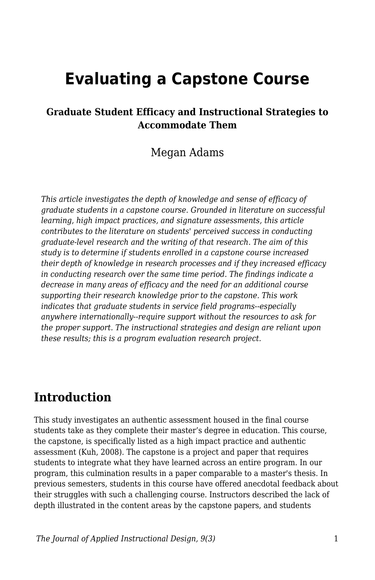# **Evaluating a Capstone Course**

#### **Graduate Student Efficacy and Instructional Strategies to Accommodate Them**

### Megan Adams

*This article investigates the depth of knowledge and sense of efficacy of graduate students in a capstone course. Grounded in literature on successful learning, high impact practices, and signature assessments, this article contributes to the literature on students' perceived success in conducting graduate-level research and the writing of that research. The aim of this study is to determine if students enrolled in a capstone course increased their depth of knowledge in research processes and if they increased efficacy in conducting research over the same time period. The findings indicate a decrease in many areas of efficacy and the need for an additional course supporting their research knowledge prior to the capstone. This work indicates that graduate students in service field programs--especially anywhere internationally--require support without the resources to ask for the proper support. The instructional strategies and design are reliant upon these results; this is a program evaluation research project.*

## **Introduction**

This study investigates an authentic assessment housed in the final course students take as they complete their master's degree in education. This course, the capstone, is specifically listed as a high impact practice and authentic assessment (Kuh, 2008). The capstone is a project and paper that requires students to integrate what they have learned across an entire program. In our program, this culmination results in a paper comparable to a master's thesis. In previous semesters, students in this course have offered anecdotal feedback about their struggles with such a challenging course. Instructors described the lack of depth illustrated in the content areas by the capstone papers, and students

*The Journal of Applied Instructional Design, 9(3)* 1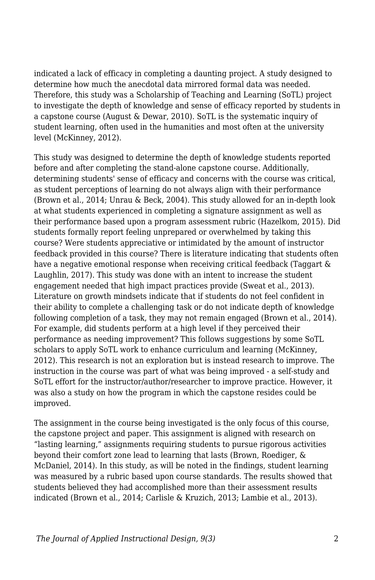indicated a lack of efficacy in completing a daunting project. A study designed to determine how much the anecdotal data mirrored formal data was needed. Therefore, this study was a Scholarship of Teaching and Learning (SoTL) project to investigate the depth of knowledge and sense of efficacy reported by students in a capstone course (August & Dewar, 2010). SoTL is the systematic inquiry of student learning, often used in the humanities and most often at the university level (McKinney, 2012).

This study was designed to determine the depth of knowledge students reported before and after completing the stand-alone capstone course. Additionally, determining students' sense of efficacy and concerns with the course was critical, as student perceptions of learning do not always align with their performance (Brown et al., 2014; Unrau & Beck, 2004). This study allowed for an in-depth look at what students experienced in completing a signature assignment as well as their performance based upon a program assessment rubric (Hazelkom, 2015). Did students formally report feeling unprepared or overwhelmed by taking this course? Were students appreciative or intimidated by the amount of instructor feedback provided in this course? There is literature indicating that students often have a negative emotional response when receiving critical feedback (Taggart & Laughlin, 2017). This study was done with an intent to increase the student engagement needed that high impact practices provide (Sweat et al., 2013). Literature on growth mindsets indicate that if students do not feel confident in their ability to complete a challenging task or do not indicate depth of knowledge following completion of a task, they may not remain engaged (Brown et al., 2014). For example, did students perform at a high level if they perceived their performance as needing improvement? This follows suggestions by some SoTL scholars to apply SoTL work to enhance curriculum and learning (McKinney, 2012). This research is not an exploration but is instead research to improve. The instruction in the course was part of what was being improved - a self-study and SoTL effort for the instructor/author/researcher to improve practice. However, it was also a study on how the program in which the capstone resides could be improved.

The assignment in the course being investigated is the only focus of this course, the capstone project and paper. This assignment is aligned with research on "lasting learning," assignments requiring students to pursue rigorous activities beyond their comfort zone lead to learning that lasts (Brown, Roediger, & McDaniel, 2014). In this study, as will be noted in the findings, student learning was measured by a rubric based upon course standards. The results showed that students believed they had accomplished more than their assessment results indicated (Brown et al., 2014; Carlisle & Kruzich, 2013; Lambie et al., 2013).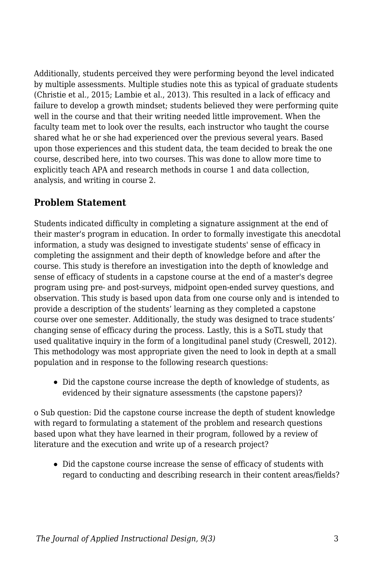Additionally, students perceived they were performing beyond the level indicated by multiple assessments. Multiple studies note this as typical of graduate students (Christie et al., 2015; Lambie et al., 2013). This resulted in a lack of efficacy and failure to develop a growth mindset; students believed they were performing quite well in the course and that their writing needed little improvement. When the faculty team met to look over the results, each instructor who taught the course shared what he or she had experienced over the previous several years. Based upon those experiences and this student data, the team decided to break the one course, described here, into two courses. This was done to allow more time to explicitly teach APA and research methods in course 1 and data collection, analysis, and writing in course 2.

### **Problem Statement**

Students indicated difficulty in completing a signature assignment at the end of their master's program in education. In order to formally investigate this anecdotal information, a study was designed to investigate students' sense of efficacy in completing the assignment and their depth of knowledge before and after the course. This study is therefore an investigation into the depth of knowledge and sense of efficacy of students in a capstone course at the end of a master's degree program using pre- and post-surveys, midpoint open-ended survey questions, and observation. This study is based upon data from one course only and is intended to provide a description of the students' learning as they completed a capstone course over one semester. Additionally, the study was designed to trace students' changing sense of efficacy during the process. Lastly, this is a SoTL study that used qualitative inquiry in the form of a longitudinal panel study (Creswell, 2012). This methodology was most appropriate given the need to look in depth at a small population and in response to the following research questions:

Did the capstone course increase the depth of knowledge of students, as evidenced by their signature assessments (the capstone papers)?

o Sub question: Did the capstone course increase the depth of student knowledge with regard to formulating a statement of the problem and research questions based upon what they have learned in their program, followed by a review of literature and the execution and write up of a research project?

Did the capstone course increase the sense of efficacy of students with regard to conducting and describing research in their content areas/fields?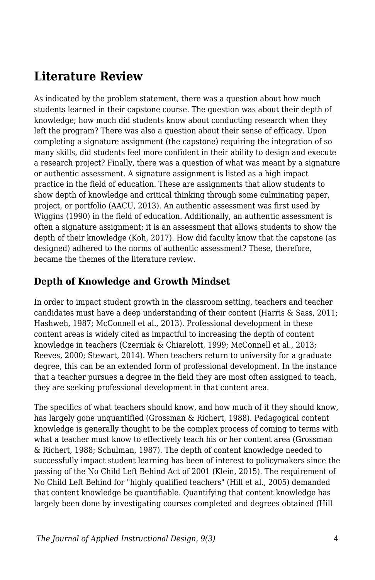## **Literature Review**

As indicated by the problem statement, there was a question about how much students learned in their capstone course. The question was about their depth of knowledge; how much did students know about conducting research when they left the program? There was also a question about their sense of efficacy. Upon completing a signature assignment (the capstone) requiring the integration of so many skills, did students feel more confident in their ability to design and execute a research project? Finally, there was a question of what was meant by a signature or authentic assessment. A signature assignment is listed as a high impact practice in the field of education. These are assignments that allow students to show depth of knowledge and critical thinking through some culminating paper, project, or portfolio (AACU, 2013). An authentic assessment was first used by Wiggins (1990) in the field of education. Additionally, an authentic assessment is often a signature assignment; it is an assessment that allows students to show the depth of their knowledge (Koh, 2017). How did faculty know that the capstone (as designed) adhered to the norms of authentic assessment? These, therefore, became the themes of the literature review.

### **Depth of Knowledge and Growth Mindset**

In order to impact student growth in the classroom setting, teachers and teacher candidates must have a deep understanding of their content (Harris & Sass, 2011; Hashweh, 1987; McConnell et al., 2013). Professional development in these content areas is widely cited as impactful to increasing the depth of content knowledge in teachers (Czerniak & Chiarelott, 1999; McConnell et al., 2013; Reeves, 2000; Stewart, 2014). When teachers return to university for a graduate degree, this can be an extended form of professional development. In the instance that a teacher pursues a degree in the field they are most often assigned to teach, they are seeking professional development in that content area.

The specifics of what teachers should know, and how much of it they should know, has largely gone unquantified (Grossman & Richert, 1988). Pedagogical content knowledge is generally thought to be the complex process of coming to terms with what a teacher must know to effectively teach his or her content area (Grossman & Richert, 1988; Schulman, 1987). The depth of content knowledge needed to successfully impact student learning has been of interest to policymakers since the passing of the No Child Left Behind Act of 2001 (Klein, 2015). The requirement of No Child Left Behind for "highly qualified teachers" (Hill et al., 2005) demanded that content knowledge be quantifiable. Quantifying that content knowledge has largely been done by investigating courses completed and degrees obtained (Hill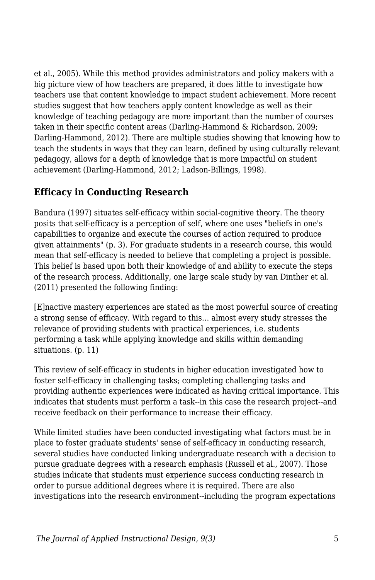et al., 2005). While this method provides administrators and policy makers with a big picture view of how teachers are prepared, it does little to investigate how teachers use that content knowledge to impact student achievement. More recent studies suggest that how teachers apply content knowledge as well as their knowledge of teaching pedagogy are more important than the number of courses taken in their specific content areas (Darling-Hammond & Richardson, 2009; Darling-Hammond, 2012). There are multiple studies showing that knowing how to teach the students in ways that they can learn, defined by using culturally relevant pedagogy, allows for a depth of knowledge that is more impactful on student achievement (Darling-Hammond, 2012; Ladson-Billings, 1998).

## **Efficacy in Conducting Research**

Bandura (1997) situates self-efficacy within social-cognitive theory. The theory posits that self-efficacy is a perception of self, where one uses "beliefs in one's capabilities to organize and execute the courses of action required to produce given attainments" (p. 3). For graduate students in a research course, this would mean that self-efficacy is needed to believe that completing a project is possible. This belief is based upon both their knowledge of and ability to execute the steps of the research process. Additionally, one large scale study by van Dinther et al. (2011) presented the following finding:

[E]nactive mastery experiences are stated as the most powerful source of creating a strong sense of efficacy. With regard to this… almost every study stresses the relevance of providing students with practical experiences, i.e. students performing a task while applying knowledge and skills within demanding situations. (p. 11)

This review of self-efficacy in students in higher education investigated how to foster self-efficacy in challenging tasks; completing challenging tasks and providing authentic experiences were indicated as having critical importance. This indicates that students must perform a task--in this case the research project--and receive feedback on their performance to increase their efficacy.

While limited studies have been conducted investigating what factors must be in place to foster graduate students' sense of self-efficacy in conducting research, several studies have conducted linking undergraduate research with a decision to pursue graduate degrees with a research emphasis (Russell et al., 2007). Those studies indicate that students must experience success conducting research in order to pursue additional degrees where it is required. There are also investigations into the research environment--including the program expectations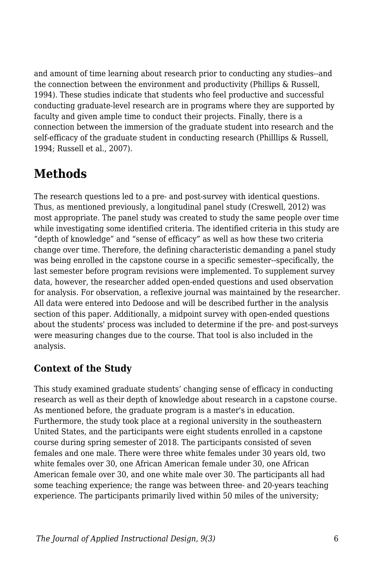and amount of time learning about research prior to conducting any studies--and the connection between the environment and productivity (Phillips & Russell, 1994). These studies indicate that students who feel productive and successful conducting graduate-level research are in programs where they are supported by faculty and given ample time to conduct their projects. Finally, there is a connection between the immersion of the graduate student into research and the self-efficacy of the graduate student in conducting research (Philllips & Russell, 1994; Russell et al., 2007).

## **Methods**

The research questions led to a pre- and post-survey with identical questions. Thus, as mentioned previously, a longitudinal panel study (Creswell, 2012) was most appropriate. The panel study was created to study the same people over time while investigating some identified criteria. The identified criteria in this study are "depth of knowledge" and "sense of efficacy" as well as how these two criteria change over time. Therefore, the defining characteristic demanding a panel study was being enrolled in the capstone course in a specific semester--specifically, the last semester before program revisions were implemented. To supplement survey data, however, the researcher added open-ended questions and used observation for analysis. For observation, a reflexive journal was maintained by the researcher. All data were entered into Dedoose and will be described further in the analysis section of this paper. Additionally, a midpoint survey with open-ended questions about the students' process was included to determine if the pre- and post-surveys were measuring changes due to the course. That tool is also included in the analysis.

#### **Context of the Study**

This study examined graduate students' changing sense of efficacy in conducting research as well as their depth of knowledge about research in a capstone course. As mentioned before, the graduate program is a master's in education. Furthermore, the study took place at a regional university in the southeastern United States, and the participants were eight students enrolled in a capstone course during spring semester of 2018. The participants consisted of seven females and one male. There were three white females under 30 years old, two white females over 30, one African American female under 30, one African American female over 30, and one white male over 30. The participants all had some teaching experience; the range was between three- and 20-years teaching experience. The participants primarily lived within 50 miles of the university;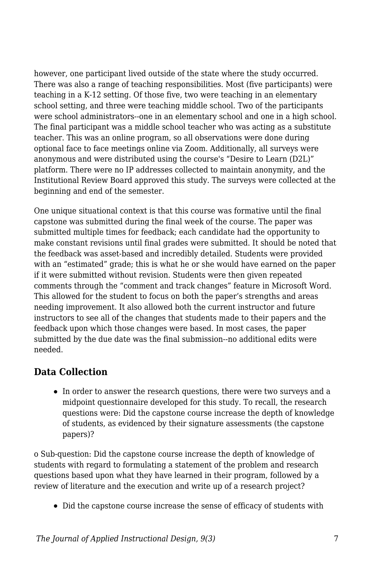however, one participant lived outside of the state where the study occurred. There was also a range of teaching responsibilities. Most (five participants) were teaching in a K-12 setting. Of those five, two were teaching in an elementary school setting, and three were teaching middle school. Two of the participants were school administrators--one in an elementary school and one in a high school. The final participant was a middle school teacher who was acting as a substitute teacher. This was an online program, so all observations were done during optional face to face meetings online via Zoom. Additionally, all surveys were anonymous and were distributed using the course's "Desire to Learn (D2L)" platform. There were no IP addresses collected to maintain anonymity, and the Institutional Review Board approved this study. The surveys were collected at the beginning and end of the semester.

One unique situational context is that this course was formative until the final capstone was submitted during the final week of the course. The paper was submitted multiple times for feedback; each candidate had the opportunity to make constant revisions until final grades were submitted. It should be noted that the feedback was asset-based and incredibly detailed. Students were provided with an "estimated" grade; this is what he or she would have earned on the paper if it were submitted without revision. Students were then given repeated comments through the "comment and track changes" feature in Microsoft Word. This allowed for the student to focus on both the paper's strengths and areas needing improvement. It also allowed both the current instructor and future instructors to see all of the changes that students made to their papers and the feedback upon which those changes were based. In most cases, the paper submitted by the due date was the final submission--no additional edits were needed.

### **Data Collection**

• In order to answer the research questions, there were two surveys and a midpoint questionnaire developed for this study. To recall, the research questions were: Did the capstone course increase the depth of knowledge of students, as evidenced by their signature assessments (the capstone papers)?

o Sub-question: Did the capstone course increase the depth of knowledge of students with regard to formulating a statement of the problem and research questions based upon what they have learned in their program, followed by a review of literature and the execution and write up of a research project?

Did the capstone course increase the sense of efficacy of students with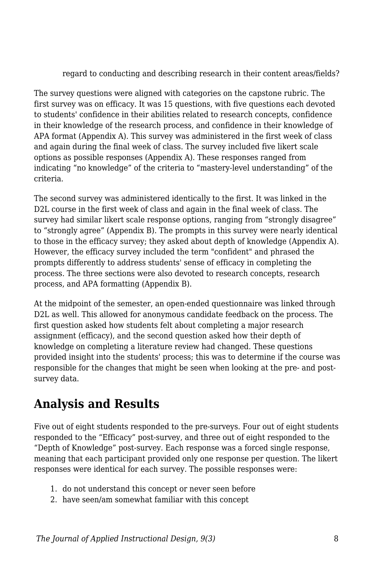regard to conducting and describing research in their content areas/fields?

The survey questions were aligned with categories on the capstone rubric. The first survey was on efficacy. It was 15 questions, with five questions each devoted to students' confidence in their abilities related to research concepts, confidence in their knowledge of the research process, and confidence in their knowledge of APA format (Appendix A). This survey was administered in the first week of class and again during the final week of class. The survey included five likert scale options as possible responses (Appendix A). These responses ranged from indicating "no knowledge" of the criteria to "mastery-level understanding" of the criteria.

The second survey was administered identically to the first. It was linked in the D2L course in the first week of class and again in the final week of class. The survey had similar likert scale response options, ranging from "strongly disagree" to "strongly agree" (Appendix B). The prompts in this survey were nearly identical to those in the efficacy survey; they asked about depth of knowledge (Appendix A). However, the efficacy survey included the term "confident" and phrased the prompts differently to address students' sense of efficacy in completing the process. The three sections were also devoted to research concepts, research process, and APA formatting (Appendix B).

At the midpoint of the semester, an open-ended questionnaire was linked through D2L as well. This allowed for anonymous candidate feedback on the process. The first question asked how students felt about completing a major research assignment (efficacy), and the second question asked how their depth of knowledge on completing a literature review had changed. These questions provided insight into the students' process; this was to determine if the course was responsible for the changes that might be seen when looking at the pre- and postsurvey data.

## **Analysis and Results**

Five out of eight students responded to the pre-surveys. Four out of eight students responded to the "Efficacy" post-survey, and three out of eight responded to the "Depth of Knowledge" post-survey. Each response was a forced single response, meaning that each participant provided only one response per question. The likert responses were identical for each survey. The possible responses were:

- 1. do not understand this concept or never seen before
- 2. have seen/am somewhat familiar with this concept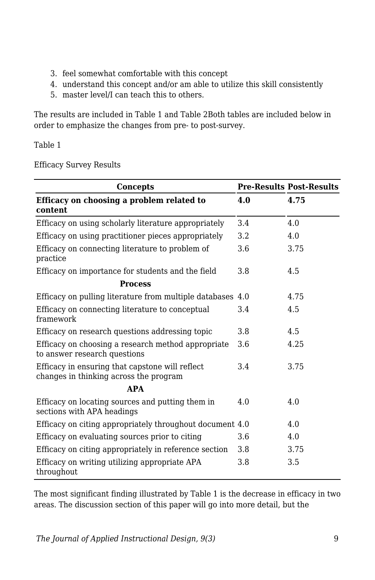- 3. feel somewhat comfortable with this concept
- 4. understand this concept and/or am able to utilize this skill consistently
- 5. master level/I can teach this to others.

The results are included in Table 1 and Table 2Both tables are included below in order to emphasize the changes from pre- to post-survey.

Table 1

Efficacy Survey Results

| <b>Concepts</b>                                                                           |     | <b>Pre-Results Post-Results</b> |
|-------------------------------------------------------------------------------------------|-----|---------------------------------|
| Efficacy on choosing a problem related to<br>content                                      | 4.0 | 4.75                            |
| Efficacy on using scholarly literature appropriately                                      | 3.4 | 4.0                             |
| Efficacy on using practitioner pieces appropriately                                       | 3.2 | 4.0                             |
| Efficacy on connecting literature to problem of<br>practice                               | 3.6 | 3.75                            |
| Efficacy on importance for students and the field                                         | 3.8 | 4.5                             |
| <b>Process</b>                                                                            |     |                                 |
| Efficacy on pulling literature from multiple databases 4.0                                |     | 4.75                            |
| Efficacy on connecting literature to conceptual<br>framework                              | 3.4 | 4.5                             |
| Efficacy on research questions addressing topic                                           | 3.8 | 4.5                             |
| Efficacy on choosing a research method appropriate<br>to answer research questions        | 3.6 | 4.25                            |
| Efficacy in ensuring that capstone will reflect<br>changes in thinking across the program | 3.4 | 3.75                            |
| <b>APA</b>                                                                                |     |                                 |
| Efficacy on locating sources and putting them in<br>sections with APA headings            | 4.0 | 4.0                             |
| Efficacy on citing appropriately throughout document 4.0                                  |     | 4.0                             |
| Efficacy on evaluating sources prior to citing                                            | 3.6 | 4.0                             |
| Efficacy on citing appropriately in reference section                                     | 3.8 | 3.75                            |
| Efficacy on writing utilizing appropriate APA<br>throughout                               | 3.8 | 3.5                             |

The most significant finding illustrated by Table 1 is the decrease in efficacy in two areas. The discussion section of this paper will go into more detail, but the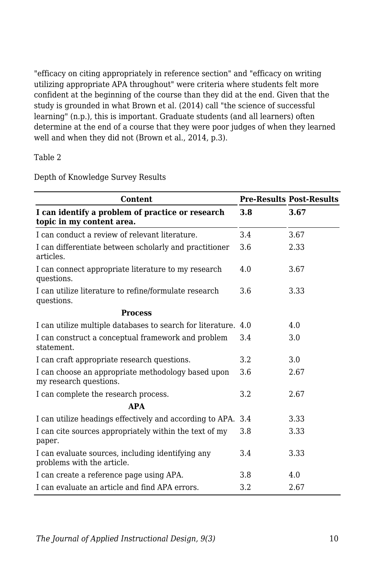"efficacy on citing appropriately in reference section" and "efficacy on writing utilizing appropriate APA throughout" were criteria where students felt more confident at the beginning of the course than they did at the end. Given that the study is grounded in what Brown et al. (2014) call "the science of successful learning" (n.p.), this is important. Graduate students (and all learners) often determine at the end of a course that they were poor judges of when they learned well and when they did not (Brown et al., 2014, p.3).

Table 2

| <b>Content</b>                                                                  |     | <b>Pre-Results Post-Results</b> |
|---------------------------------------------------------------------------------|-----|---------------------------------|
| I can identify a problem of practice or research<br>topic in my content area.   | 3.8 | 3.67                            |
| I can conduct a review of relevant literature.                                  | 3.4 | 3.67                            |
| I can differentiate between scholarly and practitioner<br>articles.             | 3.6 | 2.33                            |
| I can connect appropriate literature to my research<br>questions.               | 4.0 | 3.67                            |
| I can utilize literature to refine/formulate research<br>questions.             | 3.6 | 3.33                            |
| <b>Process</b>                                                                  |     |                                 |
| I can utilize multiple databases to search for literature.                      | 4.0 | 4.0                             |
| I can construct a conceptual framework and problem<br>statement.                | 3.4 | 3.0                             |
| I can craft appropriate research questions.                                     | 3.2 | 3.0                             |
| I can choose an appropriate methodology based upon<br>my research questions.    | 3.6 | 2.67                            |
| I can complete the research process.                                            | 3.2 | 2.67                            |
| <b>APA</b>                                                                      |     |                                 |
| I can utilize headings effectively and according to APA.                        | 3.4 | 3.33                            |
| I can cite sources appropriately within the text of my<br>paper.                | 3.8 | 3.33                            |
| I can evaluate sources, including identifying any<br>problems with the article. | 3.4 | 3.33                            |
| I can create a reference page using APA.                                        | 3.8 | 4.0                             |
| I can evaluate an article and find APA errors.                                  | 3.2 | 2.67                            |

Depth of Knowledge Survey Results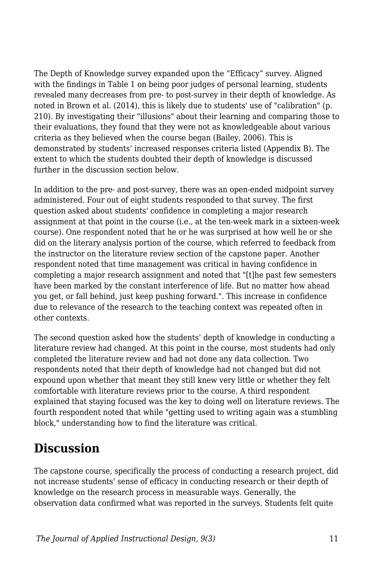The Depth of Knowledge survey expanded upon the "Efficacy" survey. Aligned with the findings in Table 1 on being poor judges of personal learning, students revealed many decreases from pre- to post-survey in their depth of knowledge. As noted in Brown et al. (2014), this is likely due to students' use of "calibration" (p. 210). By investigating their "illusions" about their learning and comparing those to their evaluations, they found that they were not as knowledgeable about various criteria as they believed when the course began (Bailey, 2006). This is demonstrated by students' increased responses criteria listed (Appendix B). The extent to which the students doubted their depth of knowledge is discussed further in the discussion section below.

In addition to the pre- and post-survey, there was an open-ended midpoint survey administered. Four out of eight students responded to that survey. The first question asked about students' confidence in completing a major research assignment at that point in the course (i.e., at the ten-week mark in a sixteen-week course). One respondent noted that he or he was surprised at how well he or she did on the literary analysis portion of the course, which referred to feedback from the instructor on the literature review section of the capstone paper. Another respondent noted that time management was critical in having confidence in completing a major research assignment and noted that "[t]he past few semesters have been marked by the constant interference of life. But no matter how ahead you get, or fall behind, just keep pushing forward.". This increase in confidence due to relevance of the research to the teaching context was repeated often in other contexts.

The second question asked how the students' depth of knowledge in conducting a literature review had changed. At this point in the course, most students had only completed the literature review and had not done any data collection. Two respondents noted that their depth of knowledge had not changed but did not expound upon whether that meant they still knew very little or whether they felt comfortable with literature reviews prior to the course. A third respondent explained that staying focused was the key to doing well on literature reviews. The fourth respondent noted that while "getting used to writing again was a stumbling block," understanding how to find the literature was critical.

## **Discussion**

The capstone course, specifically the process of conducting a research project, did not increase students' sense of efficacy in conducting research or their depth of knowledge on the research process in measurable ways. Generally, the observation data confirmed what was reported in the surveys. Students felt quite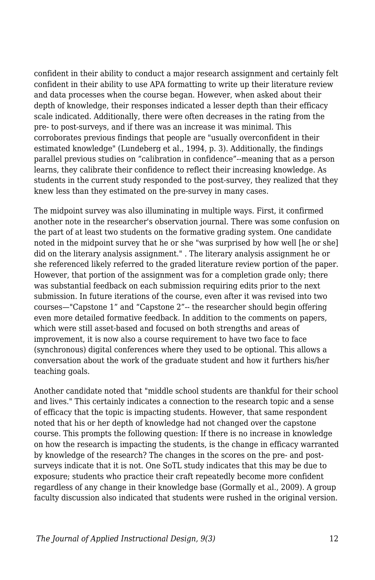confident in their ability to conduct a major research assignment and certainly felt confident in their ability to use APA formatting to write up their literature review and data processes when the course began. However, when asked about their depth of knowledge, their responses indicated a lesser depth than their efficacy scale indicated. Additionally, there were often decreases in the rating from the pre- to post-surveys, and if there was an increase it was minimal. This corroborates previous findings that people are "usually overconfident in their estimated knowledge" (Lundeberg et al., 1994, p. 3). Additionally, the findings parallel previous studies on "calibration in confidence"--meaning that as a person learns, they calibrate their confidence to reflect their increasing knowledge. As students in the current study responded to the post-survey, they realized that they knew less than they estimated on the pre-survey in many cases.

The midpoint survey was also illuminating in multiple ways. First, it confirmed another note in the researcher's observation journal. There was some confusion on the part of at least two students on the formative grading system. One candidate noted in the midpoint survey that he or she "was surprised by how well [he or she] did on the literary analysis assignment." . The literary analysis assignment he or she referenced likely referred to the graded literature review portion of the paper. However, that portion of the assignment was for a completion grade only; there was substantial feedback on each submission requiring edits prior to the next submission. In future iterations of the course, even after it was revised into two courses—"Capstone 1" and "Capstone 2"-- the researcher should begin offering even more detailed formative feedback. In addition to the comments on papers, which were still asset-based and focused on both strengths and areas of improvement, it is now also a course requirement to have two face to face (synchronous) digital conferences where they used to be optional. This allows a conversation about the work of the graduate student and how it furthers his/her teaching goals.

Another candidate noted that "middle school students are thankful for their school and lives." This certainly indicates a connection to the research topic and a sense of efficacy that the topic is impacting students. However, that same respondent noted that his or her depth of knowledge had not changed over the capstone course. This prompts the following question: If there is no increase in knowledge on how the research is impacting the students, is the change in efficacy warranted by knowledge of the research? The changes in the scores on the pre- and postsurveys indicate that it is not. One SoTL study indicates that this may be due to exposure; students who practice their craft repeatedly become more confident regardless of any change in their knowledge base (Gormally et al., 2009). A group faculty discussion also indicated that students were rushed in the original version.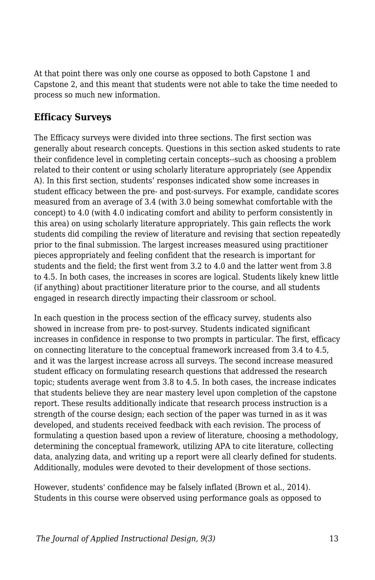At that point there was only one course as opposed to both Capstone 1 and Capstone 2, and this meant that students were not able to take the time needed to process so much new information.

### **Efficacy Surveys**

The Efficacy surveys were divided into three sections. The first section was generally about research concepts. Questions in this section asked students to rate their confidence level in completing certain concepts--such as choosing a problem related to their content or using scholarly literature appropriately (see Appendix A). In this first section, students' responses indicated show some increases in student efficacy between the pre- and post-surveys. For example, candidate scores measured from an average of 3.4 (with 3.0 being somewhat comfortable with the concept) to 4.0 (with 4.0 indicating comfort and ability to perform consistently in this area) on using scholarly literature appropriately. This gain reflects the work students did compiling the review of literature and revising that section repeatedly prior to the final submission. The largest increases measured using practitioner pieces appropriately and feeling confident that the research is important for students and the field; the first went from 3.2 to 4.0 and the latter went from 3.8 to 4.5. In both cases, the increases in scores are logical. Students likely knew little (if anything) about practitioner literature prior to the course, and all students engaged in research directly impacting their classroom or school.

In each question in the process section of the efficacy survey, students also showed in increase from pre- to post-survey. Students indicated significant increases in confidence in response to two prompts in particular. The first, efficacy on connecting literature to the conceptual framework increased from 3.4 to 4.5, and it was the largest increase across all surveys. The second increase measured student efficacy on formulating research questions that addressed the research topic; students average went from 3.8 to 4.5. In both cases, the increase indicates that students believe they are near mastery level upon completion of the capstone report. These results additionally indicate that research process instruction is a strength of the course design; each section of the paper was turned in as it was developed, and students received feedback with each revision. The process of formulating a question based upon a review of literature, choosing a methodology, determining the conceptual framework, utilizing APA to cite literature, collecting data, analyzing data, and writing up a report were all clearly defined for students. Additionally, modules were devoted to their development of those sections.

However, students' confidence may be falsely inflated (Brown et al., 2014). Students in this course were observed using performance goals as opposed to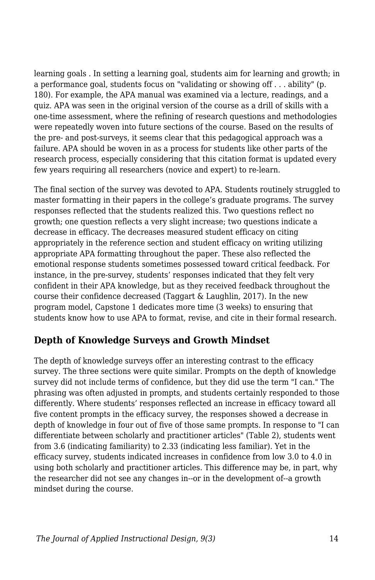learning goals . In setting a learning goal, students aim for learning and growth; in a performance goal, students focus on "validating or showing off . . . ability" (p. 180). For example, the APA manual was examined via a lecture, readings, and a quiz. APA was seen in the original version of the course as a drill of skills with a one-time assessment, where the refining of research questions and methodologies were repeatedly woven into future sections of the course. Based on the results of the pre- and post-surveys, it seems clear that this pedagogical approach was a failure. APA should be woven in as a process for students like other parts of the research process, especially considering that this citation format is updated every few years requiring all researchers (novice and expert) to re-learn.

The final section of the survey was devoted to APA. Students routinely struggled to master formatting in their papers in the college's graduate programs. The survey responses reflected that the students realized this. Two questions reflect no growth; one question reflects a very slight increase; two questions indicate a decrease in efficacy. The decreases measured student efficacy on citing appropriately in the reference section and student efficacy on writing utilizing appropriate APA formatting throughout the paper. These also reflected the emotional response students sometimes possessed toward critical feedback. For instance, in the pre-survey, students' responses indicated that they felt very confident in their APA knowledge, but as they received feedback throughout the course their confidence decreased (Taggart & Laughlin, 2017). In the new program model, Capstone 1 dedicates more time (3 weeks) to ensuring that students know how to use APA to format, revise, and cite in their formal research.

### **Depth of Knowledge Surveys and Growth Mindset**

The depth of knowledge surveys offer an interesting contrast to the efficacy survey. The three sections were quite similar. Prompts on the depth of knowledge survey did not include terms of confidence, but they did use the term "I can." The phrasing was often adjusted in prompts, and students certainly responded to those differently. Where students' responses reflected an increase in efficacy toward all five content prompts in the efficacy survey, the responses showed a decrease in depth of knowledge in four out of five of those same prompts. In response to "I can differentiate between scholarly and practitioner articles" (Table 2), students went from 3.6 (indicating familiarity) to 2.33 (indicating less familiar). Yet in the efficacy survey, students indicated increases in confidence from low 3.0 to 4.0 in using both scholarly and practitioner articles. This difference may be, in part, why the researcher did not see any changes in--or in the development of--a growth mindset during the course.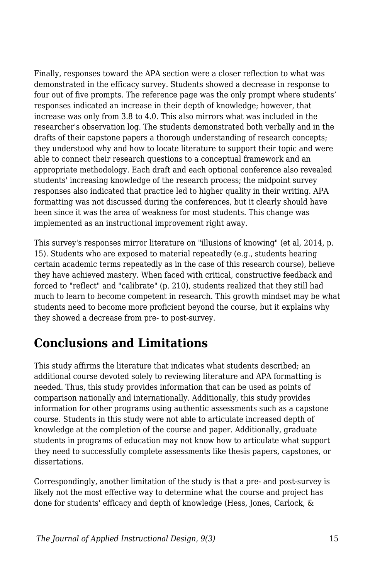Finally, responses toward the APA section were a closer reflection to what was demonstrated in the efficacy survey. Students showed a decrease in response to four out of five prompts. The reference page was the only prompt where students' responses indicated an increase in their depth of knowledge; however, that increase was only from 3.8 to 4.0. This also mirrors what was included in the researcher's observation log. The students demonstrated both verbally and in the drafts of their capstone papers a thorough understanding of research concepts; they understood why and how to locate literature to support their topic and were able to connect their research questions to a conceptual framework and an appropriate methodology. Each draft and each optional conference also revealed students' increasing knowledge of the research process; the midpoint survey responses also indicated that practice led to higher quality in their writing. APA formatting was not discussed during the conferences, but it clearly should have been since it was the area of weakness for most students. This change was implemented as an instructional improvement right away.

This survey's responses mirror literature on "illusions of knowing" (et al, 2014, p. 15). Students who are exposed to material repeatedly (e.g., students hearing certain academic terms repeatedly as in the case of this research course), believe they have achieved mastery. When faced with critical, constructive feedback and forced to "reflect" and "calibrate" (p. 210), students realized that they still had much to learn to become competent in research. This growth mindset may be what students need to become more proficient beyond the course, but it explains why they showed a decrease from pre- to post-survey.

## **Conclusions and Limitations**

This study affirms the literature that indicates what students described; an additional course devoted solely to reviewing literature and APA formatting is needed. Thus, this study provides information that can be used as points of comparison nationally and internationally. Additionally, this study provides information for other programs using authentic assessments such as a capstone course. Students in this study were not able to articulate increased depth of knowledge at the completion of the course and paper. Additionally, graduate students in programs of education may not know how to articulate what support they need to successfully complete assessments like thesis papers, capstones, or dissertations.

Correspondingly, another limitation of the study is that a pre- and post-survey is likely not the most effective way to determine what the course and project has done for students' efficacy and depth of knowledge (Hess, Jones, Carlock, &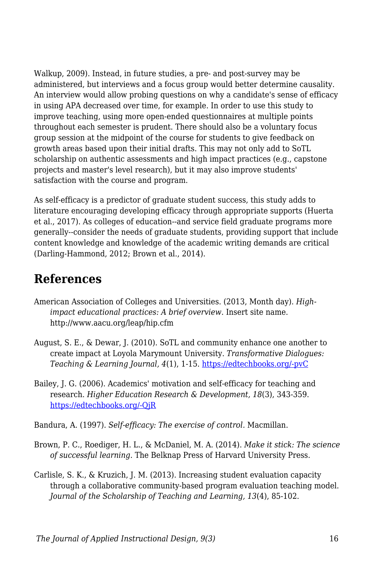Walkup, 2009). Instead, in future studies, a pre- and post-survey may be administered, but interviews and a focus group would better determine causality. An interview would allow probing questions on why a candidate's sense of efficacy in using APA decreased over time, for example. In order to use this study to improve teaching, using more open-ended questionnaires at multiple points throughout each semester is prudent. There should also be a voluntary focus group session at the midpoint of the course for students to give feedback on growth areas based upon their initial drafts. This may not only add to SoTL scholarship on authentic assessments and high impact practices (e.g., capstone projects and master's level research), but it may also improve students' satisfaction with the course and program.

As self-efficacy is a predictor of graduate student success, this study adds to literature encouraging developing efficacy through appropriate supports (Huerta et al., 2017). As colleges of education--and service field graduate programs more generally--consider the needs of graduate students, providing support that include content knowledge and knowledge of the academic writing demands are critical (Darling-Hammond, 2012; Brown et al., 2014).

## **References**

- American Association of Colleges and Universities. (2013, Month day). *Highimpact educational practices: A brief overview*. Insert site name. http://www.aacu.org/leap/hip.cfm
- August, S. E., & Dewar, J. (2010). SoTL and community enhance one another to create impact at Loyola Marymount University. *Transformative Dialogues: Teaching & Learning Journal, 4*(1), 1-15. [https://edtechbooks.org/-pvC](https://www.kpu.ca/sites/default/files/Teaching%20and%20Learning/TD.4.1.5_August%26Dewar_SoTL%26Community_Enhance_One_Another.pdf)
- Bailey, J. G. (2006). Academics' motivation and self-efficacy for teaching and research. *Higher Education Research & Development, 18*(3), 343-359. [https://edtechbooks.org/-QjR](https://doi.org/10.1080/0729436990180305)
- Bandura, A. (1997). *Self-efficacy: The exercise of control.* Macmillan.
- Brown, P. C., Roediger, H. L., & McDaniel, M. A. (2014). *Make it stick: The science of successful learning.* The Belknap Press of Harvard University Press.
- Carlisle, S. K., & Kruzich, J. M. (2013). Increasing student evaluation capacity through a collaborative community-based program evaluation teaching model. *Journal of the Scholarship of Teaching and Learning, 13*(4), 85-102.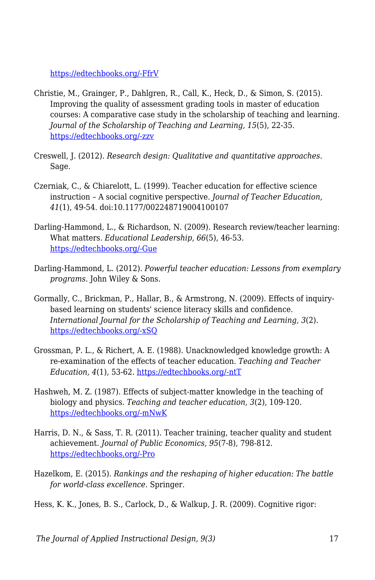[https://edtechbooks.org/-FfrV](https://scholarworks.iu.edu/journals/index.php/josotl/article/view/3176)

- Christie, M., Grainger, P., Dahlgren, R., Call, K., Heck, D., & Simon, S. (2015). Improving the quality of assessment grading tools in master of education courses: A comparative case study in the scholarship of teaching and learning. *Journal of the Scholarship of Teaching and Learning, 15*(5), 22-35. [https://edtechbooks.org/-zzv](https://scholarworks.iu.edu/journals/index.php/josotl/article/view/13783)
- Creswell, J. (2012). *Research design: Qualitative and quantitative approaches.* Sage.
- Czerniak, C., & Chiarelott, L. (1999). Teacher education for effective science instruction – A social cognitive perspective. *Journal of Teacher Education, 41*(1), 49-54. doi:10.1177/002248719004100107
- Darling-Hammond, L., & Richardson, N. (2009). Research review/teacher learning: What matters. *Educational Leadership, 66*(5), 46-53. [https://edtechbooks.org/-Gue](https://jorluiseptor.github.io/EQUIP1/suplemental_docs/PLC/Darling-Hammond,%20L.%20and%20Richardson,%20N.%20(2009).%20Teacher%20Learning.pdf)
- Darling-Hammond, L. (2012). *Powerful teacher education: Lessons from exemplary programs.* John Wiley & Sons.
- Gormally, C., Brickman, P., Hallar, B., & Armstrong, N. (2009). Effects of inquirybased learning on students' science literacy skills and confidence. *International Journal for the Scholarship of Teaching and Learning, 3*(2). [https://edtechbooks.org/-xSQ](https://files.eric.ed.gov/fulltext/EJ1136707.pdf)
- Grossman, P. L., & Richert, A. E. (1988). Unacknowledged knowledge growth: A re-examination of the effects of teacher education. *Teaching and Teacher Education, 4*(1), 53-62. [https://edtechbooks.org/-ntT](http://doi.org/10.1016/0752-051X(88)90024-8)
- Hashweh, M. Z. (1987). Effects of subject-matter knowledge in the teaching of biology and physics. *Teaching and teacher education, 3*(2), 109-120. [https://edtechbooks.org/-mNwK](http://doi.org/10.1016/0742-051X(87)90012-6)
- Harris, D. N., & Sass, T. R. (2011). Teacher training, teacher quality and student achievement. *Journal of Public Economics, 95*(7-8), 798-812. [https://edtechbooks.org/-Pro](http://doi.org/10.1016/j.pubeco.2010.11.009)
- Hazelkom, E. (2015). *Rankings and the reshaping of higher education: The battle for world-class excellence.* Springer.

Hess, K. K., Jones, B. S., Carlock, D., & Walkup, J. R. (2009). Cognitive rigor: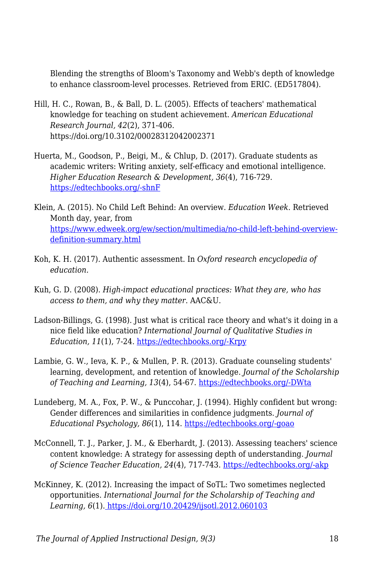Blending the strengths of Bloom's Taxonomy and Webb's depth of knowledge to enhance classroom-level processes. Retrieved from ERIC. (ED517804).

- Hill, H. C., Rowan, B., & Ball, D. L. (2005). Effects of teachers' mathematical knowledge for teaching on student achievement. *American Educational Research Journal, 42*(2), 371-406. https://doi.org/10.3102/00028312042002371
- Huerta, M., Goodson, P., Beigi, M., & Chlup, D. (2017). Graduate students as academic writers: Writing anxiety, self-efficacy and emotional intelligence. *Higher Education Research & Development, 36*(4), 716-729. [https://edtechbooks.org/-shnF](https://doi.org/10.1080/07294360.123881)
- Klein, A. (2015). No Child Left Behind: An overview. *Education Week*. Retrieved Month day, year, from [https://www.edweek.org/ew/section/multimedia/no-child-left-behind-overview](https://www.edweek.org/ew/section/multimedia/no-child-left-behind-overview-definition-summary.html)[definition-summary.html](https://www.edweek.org/ew/section/multimedia/no-child-left-behind-overview-definition-summary.html)
- Koh, K. H. (2017). Authentic assessment. In *Oxford research encyclopedia of education.*
- Kuh, G. D. (2008). *High-impact educational practices: What they are, who has access to them, and why they matter*. AAC&U.
- Ladson-Billings, G. (1998). Just what is critical race theory and what's it doing in a nice field like education? *International Journal of Qualitative Studies in Education, 11*(1), 7-24. [https://edtechbooks.org/-Krpy](https://doi.org/10.1080/095183998236863)
- Lambie, G. W., Ieva, K. P., & Mullen, P. R. (2013). Graduate counseling students' learning, development, and retention of knowledge. *Journal of the Scholarship of Teaching and Learning, 13*(4), 54-67. [https://edtechbooks.org/-DWta](https://scholarworks.iu.edu/journals/index.php/josotl/article/view/3284)
- Lundeberg, M. A., Fox, P. W., & Punccohar, J. (1994). Highly confident but wrong: Gender differences and similarities in confidence judgments. *Journal of Educational Psychology, 86*(1), 114. [https://edtechbooks.org/-goao](https://doi.org/10.1037/0022-0663.86.1.114)
- McConnell, T. J., Parker, J. M., & Eberhardt, J. (2013). Assessing teachers' science content knowledge: A strategy for assessing depth of understanding. *Journal of Science Teacher Education, 24*(4), 717-743. [https://edtechbooks.org/-akp](https://www.tandfonline.com/doi/pdf/10.1007/s10972-013-9342-3?casa_token=o9_BOlyBH0IAAAAA:JAsQhGGALFwzubzRQ7QqdE0OU1OIdcpE_heddqgbT0c4VWK0nqE2pfF7MMP7nMwunsGxp5ivsyVTlg)
- McKinney, K. (2012). Increasing the impact of SoTL: Two sometimes neglected opportunities. *International Journal for the Scholarship of Teaching and Learning, 6*(1)[. https://doi.org/10.20429/ijsotl.2012.060103](https://doi.org/10.20429/ijsotl.2012.060103)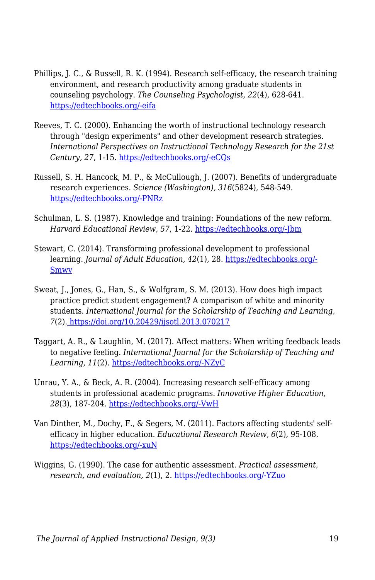- Phillips, J. C., & Russell, R. K. (1994). Research self-efficacy, the research training environment, and research productivity among graduate students in counseling psychology. *The Counseling Psychologist, 22*(4), 628-641. [https://edtechbooks.org/-eifa](https://doi.org/10.1177/0011000094224008)
- Reeves, T. C. (2000). Enhancing the worth of instructional technology research through "design experiments" and other development research strategies. *International Perspectives on Instructional Technology Research for the 21st Century, 27*, 1-15. [https://edtechbooks.org/-eCQs](https://www.researchgate.net/profile/T_Reeves/publication/228467769_Enhancing_the_worth_of_instructional_technology_research_through_)
- Russell, S. H. Hancock, M. P., & McCullough, J. (2007). Benefits of undergraduate research experiences. *Science (Washington), 316*(5824), 548-549. [https://edtechbooks.org/-PNRz](https://repositorio.upr.edu/bitstream/handle/11721/1920/benefitsofundegraduateresearchexperiencesScienceMay2007.pdf?sequence=1)
- Schulman, L. S. (1987). Knowledge and training: Foundations of the new reform. *Harvard Educational Review, 57*, 1-22. [https://edtechbooks.org/-Jbm](https://doi.org/10.17763/haer.57.1.j463w79r56455411)
- Stewart, C. (2014). Transforming professional development to professional learning. *Journal of Adult Education, 42*(1), 28. [https://edtechbooks.org/-](https://files.eric.ed.gov/fulltext/EJ1047338.pdf) [Smwv](https://files.eric.ed.gov/fulltext/EJ1047338.pdf)
- Sweat, J., Jones, G., Han, S., & Wolfgram, S. M. (2013). How does high impact practice predict student engagement? A comparison of white and minority students. *International Journal for the Scholarship of Teaching and Learning, 7*(2)[. https://doi.org/10.20429/ijsotl.2013.070217](https://doi.org/10.20429/ijsotl.2013.070217)
- Taggart, A. R., & Laughlin, M. (2017). Affect matters: When writing feedback leads to negative feeling. *International Journal for the Scholarship of Teaching and Learning, 11*(2). [https://edtechbooks.org/-NZyC](https://files.eric.ed.gov/fulltext/EJ1150449.pdf)
- Unrau, Y. A., & Beck, A. R. (2004). Increasing research self-efficacy among students in professional academic programs. *Innovative Higher Education, 28*(3), 187-204. [https://edtechbooks.org/-VwH](http://citeseerx.ist.psu.edu/viewdoc/download?doi=10.1.1.507.7097&rep=rep1&type=pdf)
- Van Dinther, M., Dochy, F., & Segers, M. (2011). Factors affecting students' selfefficacy in higher education. *Educational Research Review, 6*(2), 95-108. [https://edtechbooks.org/-xuN](https://doi.org/10.1016/j.edurev.2010.10.003)
- Wiggins, G. (1990). The case for authentic assessment. *Practical assessment, research, and evaluation, 2*(1), 2. [https://edtechbooks.org/-YZuo](https://scholarworks.umass.edu/cgi/viewcontent.cgi?article=1024&=&context=pare&=&sei-redir=1&referer=https%253A%252F%252Fscholar.google.com%252Fscholar%253Fhl%253Den%2526as_sdt%253D0%25252C11%2526q%253Dwiggins%252B1990%252Bthe%252Bcase%252Bfor%2526btnG%253D#search=%22wiggins%201990%20case%22)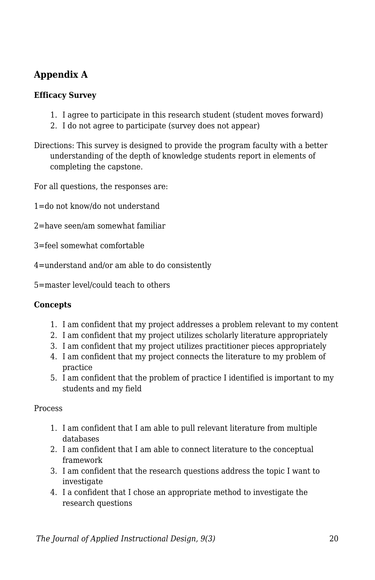## **Appendix A**

#### **Efficacy Survey**

- 1. I agree to participate in this research student (student moves forward)
- 2. I do not agree to participate (survey does not appear)
- Directions: This survey is designed to provide the program faculty with a better understanding of the depth of knowledge students report in elements of completing the capstone.

For all questions, the responses are:

1=do not know/do not understand

- 2=have seen/am somewhat familiar
- 3=feel somewhat comfortable
- 4=understand and/or am able to do consistently
- 5=master level/could teach to others

#### **Concepts**

- 1. I am confident that my project addresses a problem relevant to my content
- 2. I am confident that my project utilizes scholarly literature appropriately
- 3. I am confident that my project utilizes practitioner pieces appropriately
- 4. I am confident that my project connects the literature to my problem of practice
- 5. I am confident that the problem of practice I identified is important to my students and my field

Process

- 1. I am confident that I am able to pull relevant literature from multiple databases
- 2. I am confident that I am able to connect literature to the conceptual framework
- 3. I am confident that the research questions address the topic I want to investigate
- 4. I a confident that I chose an appropriate method to investigate the research questions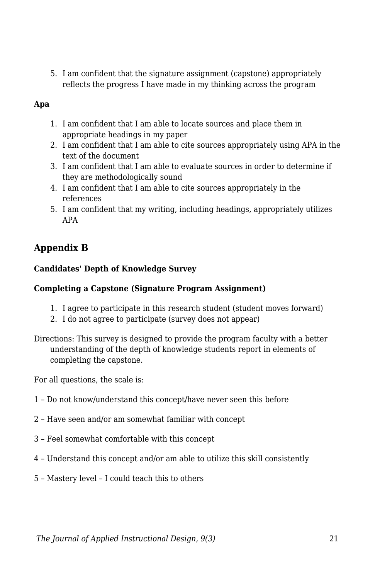5. I am confident that the signature assignment (capstone) appropriately reflects the progress I have made in my thinking across the program

#### **Apa**

- 1. I am confident that I am able to locate sources and place them in appropriate headings in my paper
- 2. I am confident that I am able to cite sources appropriately using APA in the text of the document
- 3. I am confident that I am able to evaluate sources in order to determine if they are methodologically sound
- 4. I am confident that I am able to cite sources appropriately in the references
- 5. I am confident that my writing, including headings, appropriately utilizes APA

## **Appendix B**

#### **Candidates' Depth of Knowledge Survey**

#### **Completing a Capstone (Signature Program Assignment)**

- 1. I agree to participate in this research student (student moves forward)
- 2. I do not agree to participate (survey does not appear)
- Directions: This survey is designed to provide the program faculty with a better understanding of the depth of knowledge students report in elements of completing the capstone.

For all questions, the scale is:

- 1 Do not know/understand this concept/have never seen this before
- 2 Have seen and/or am somewhat familiar with concept
- 3 Feel somewhat comfortable with this concept
- 4 Understand this concept and/or am able to utilize this skill consistently
- 5 Mastery level I could teach this to others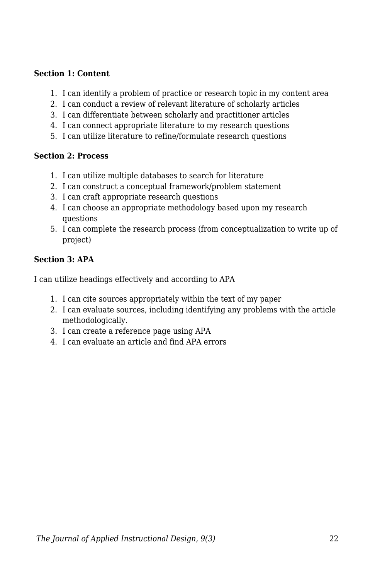#### **Section 1: Content**

- 1. I can identify a problem of practice or research topic in my content area
- 2. I can conduct a review of relevant literature of scholarly articles
- 3. I can differentiate between scholarly and practitioner articles
- 4. I can connect appropriate literature to my research questions
- 5. I can utilize literature to refine/formulate research questions

#### **Section 2: Process**

- 1. I can utilize multiple databases to search for literature
- 2. I can construct a conceptual framework/problem statement
- 3. I can craft appropriate research questions
- 4. I can choose an appropriate methodology based upon my research questions
- 5. I can complete the research process (from conceptualization to write up of project)

#### **Section 3: APA**

I can utilize headings effectively and according to APA

- 1. I can cite sources appropriately within the text of my paper
- 2. I can evaluate sources, including identifying any problems with the article methodologically.
- 3. I can create a reference page using APA
- 4. I can evaluate an article and find APA errors